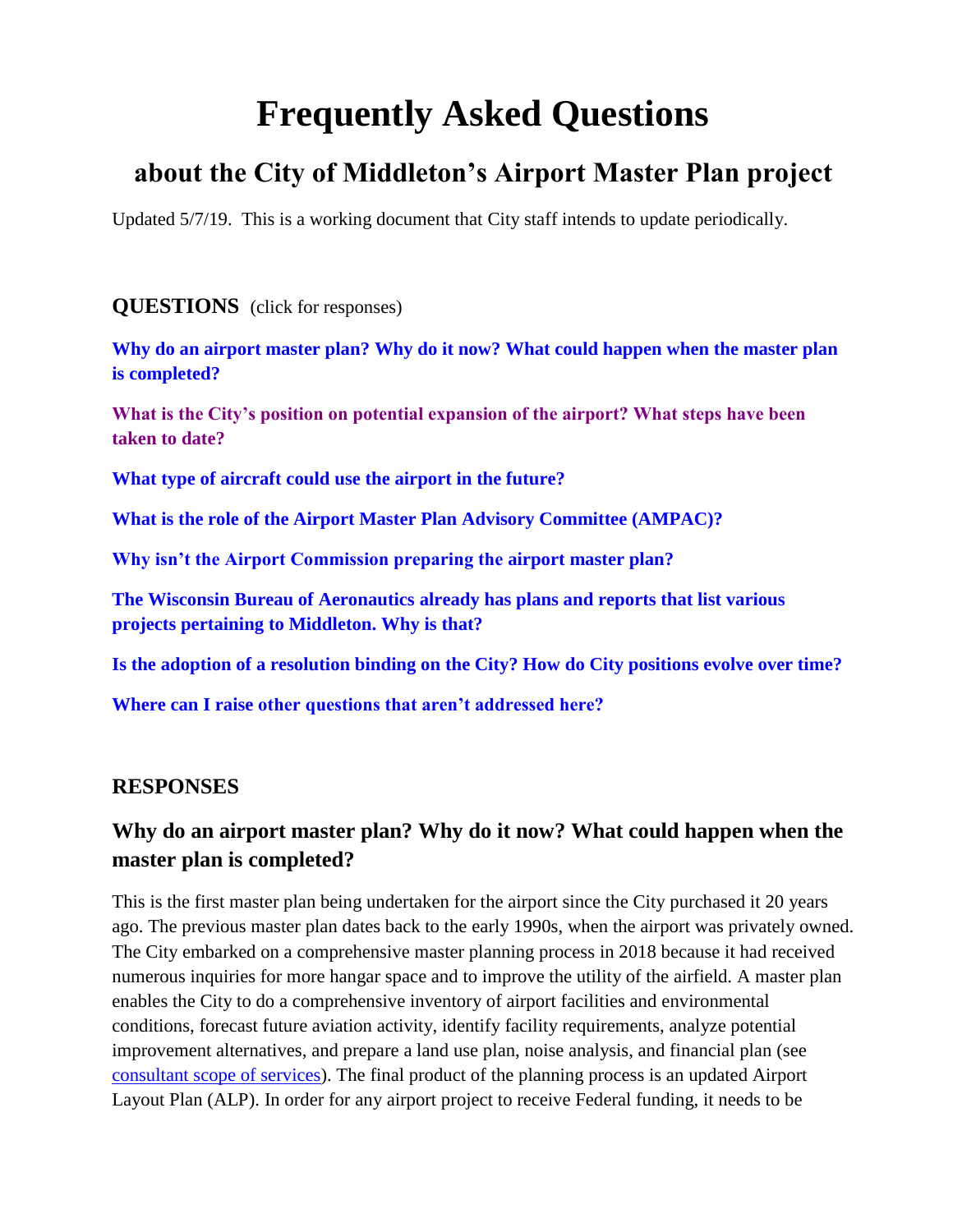# **Frequently Asked Questions**

# **about the City of Middleton's Airport Master Plan project**

Updated 5/7/19. This is a working document that City staff intends to update periodically.

#### **QUESTIONS** (click for responses)

**[Why do an airport master plan? Why do it now? What could happen when the master plan](#page-0-0)  [is completed?](#page-0-0)**

**[What is the City's position on potential expansion of the airport? What steps have been](#page-0-0)  [taken to date?](#page-0-0)**

<span id="page-0-1"></span>**[What type of aircraft could use the airport in the future?](#page-0-1)**

**[What is the role of the Airport Master Plan Advisory Committee \(AMPAC\)?](#page-2-0)**

**[Why isn't the Airport Commission preparing the airport master plan?](#page-2-1)**

**[The Wisconsin Bureau of Aeronautics already has plans and reports that list various](#page-3-0)  [projects pertaining to Middleton.](#page-3-0) Why is that?**

**Is the adoption of a resolution binding on [the City? How do City positions evolve over time?](#page-3-0)**

**[Where can I raise other questions that aren't addressed here?](#page-3-1)** 

#### **RESPONSES**

### <span id="page-0-0"></span>**Why do an airport master plan? Why do it now? What could happen when the master plan is completed?**

This is the first master plan being undertaken for the airport since the City purchased it 20 years ago. The previous master plan dates back to the early 1990s, when the airport was privately owned. The City embarked on a comprehensive master planning process in 2018 because it had received numerous inquiries for more hangar space and to improve the utility of the airfield. A master plan enables the City to do a comprehensive inventory of airport facilities and environmental conditions, forecast future aviation activity, identify facility requirements, analyze potential improvement alternatives, and prepare a land use plan, noise analysis, and financial plan (see [consultant scope of services\)](https://www.cityofmiddleton.us/DocumentCenter/View/6226/Airport-Master-Plan-Work-Scope---022018). The final product of the planning process is an updated Airport Layout Plan (ALP). In order for any airport project to receive Federal funding, it needs to be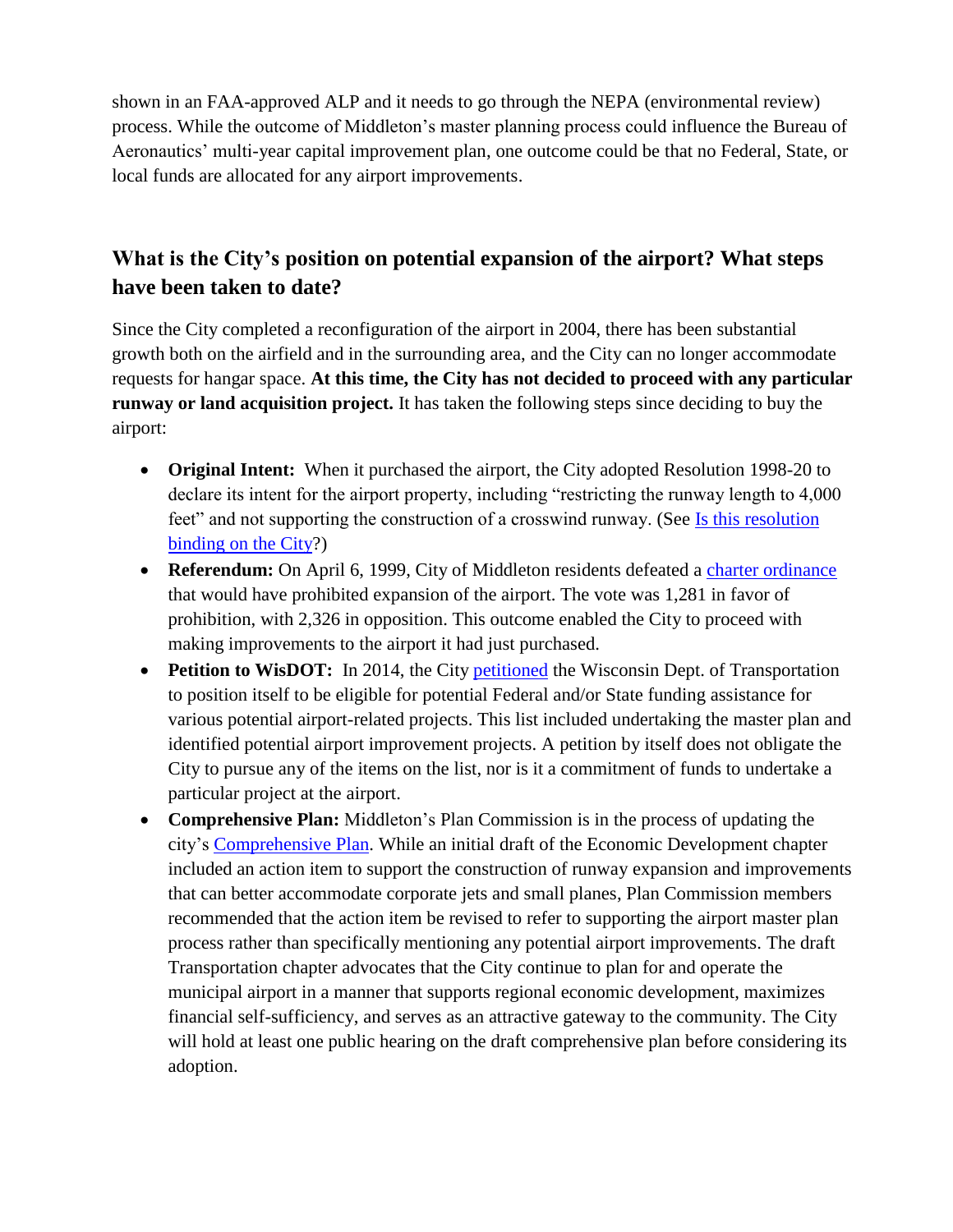shown in an FAA-approved ALP and it needs to go through the NEPA (environmental review) process. While the outcome of Middleton's master planning process could influence the Bureau of Aeronautics' multi-year capital improvement plan, one outcome could be that no Federal, State, or local funds are allocated for any airport improvements.

## **What is the City's position on potential expansion of the airport? What steps have been taken to date?**

Since the City completed a reconfiguration of the airport in 2004, there has been substantial growth both on the airfield and in the surrounding area, and the City can no longer accommodate requests for hangar space. **At this time, the City has not decided to proceed with any particular runway or land acquisition project.** It has taken the following steps since deciding to buy the airport:

- **Original Intent:** When it purchased the airport, the City adopted Resolution 1998-20 to declare its intent for the airport property, including "restricting the runway length to 4,000 feet" and not supporting the construction of a crosswind runway. (See Is this resolution [binding on the City?](#page-3-0))
- **Referendum:** On April 6, 1999, City of Middleton residents defeated a [charter ordinance](https://www.cityofmiddleton.us/DocumentCenter/View/6316/Airport-Referendum?bidId=) that would have prohibited expansion of the airport. The vote was 1,281 in favor of prohibition, with 2,326 in opposition. This outcome enabled the City to proceed with making improvements to the airport it had just purchased.
- **Petition to WisDOT:** In 2014, the City [petitioned](https://www.cityofmiddleton.us/DocumentCenter/View/6314/Res-2014-65-Petition-for-Airport-Improvement-Aid?bidId=) the Wisconsin Dept. of Transportation to position itself to be eligible for potential Federal and/or State funding assistance for various potential airport-related projects. This list included undertaking the master plan and identified potential airport improvement projects. A petition by itself does not obligate the City to pursue any of the items on the list, nor is it a commitment of funds to undertake a particular project at the airport.
- **Comprehensive Plan:** Middleton's Plan Commission is in the process of updating the city's [Comprehensive Plan.](https://www.cityofmiddleton.us/366/2015-Comprehensive-Plan-Update) While an initial draft of the Economic Development chapter included an action item to support the construction of runway expansion and improvements that can better accommodate corporate jets and small planes, Plan Commission members recommended that the action item be revised to refer to supporting the airport master plan process rather than specifically mentioning any potential airport improvements. The draft Transportation chapter advocates that the City continue to plan for and operate the municipal airport in a manner that supports regional economic development, maximizes financial self-sufficiency, and serves as an attractive gateway to the community. The City will hold at least one public hearing on the draft comprehensive plan before considering its adoption.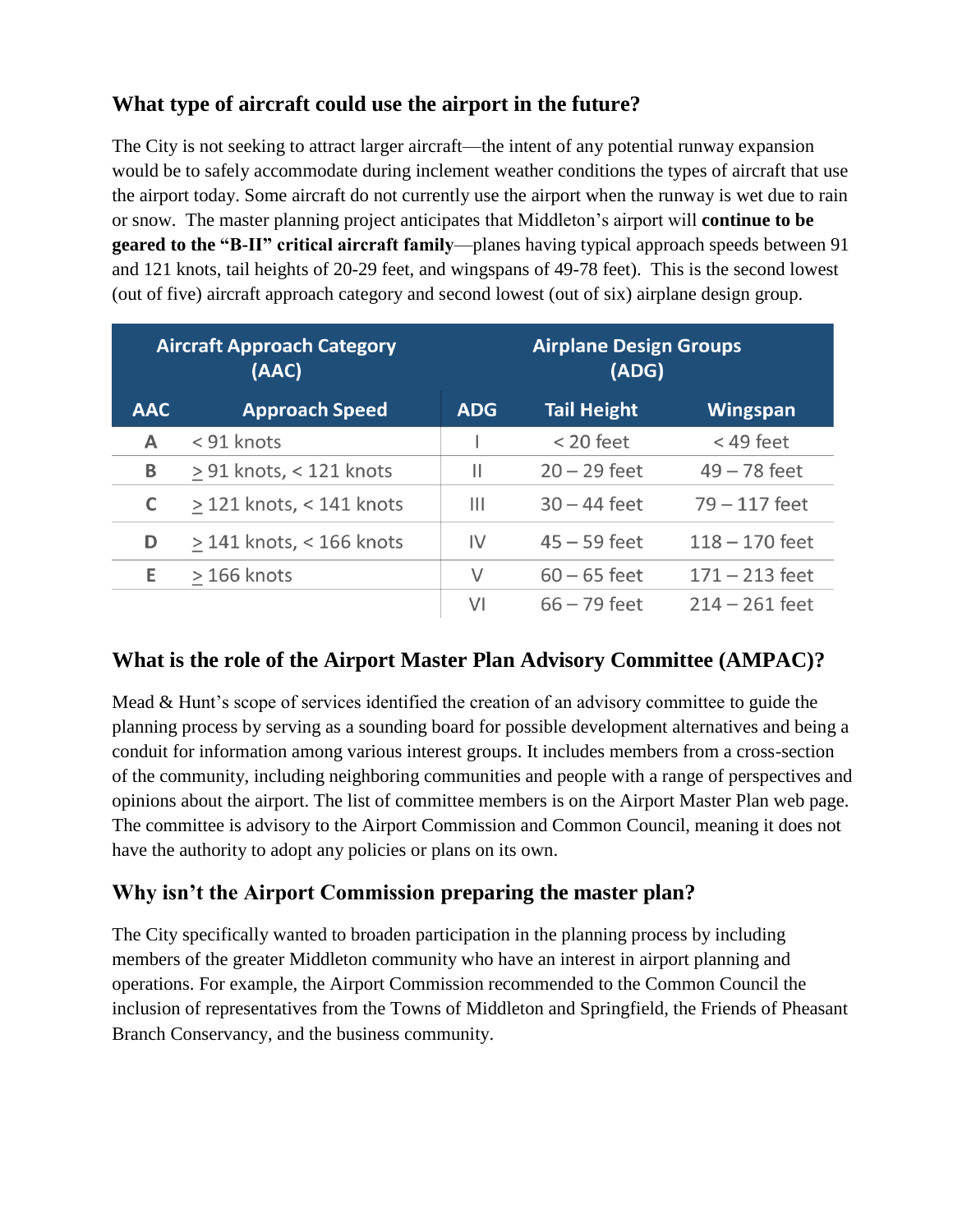#### **What type of aircraft could use the airport in the future?**

The City is not seeking to attract larger aircraft—the intent of any potential runway expansion would be to safely accommodate during inclement weather conditions the types of aircraft that use the airport today. Some aircraft do not currently use the airport when the runway is wet due to rain or snow. The master planning project anticipates that Middleton's airport will **continue to be geared to the "B-II" critical aircraft family**—planes having typical approach speeds between 91 and 121 knots, tail heights of 20-29 feet, and wingspans of 49-78 feet). This is the second lowest (out of five) aircraft approach category and second lowest (out of six) airplane design group.

| <b>Aircraft Approach Category</b><br>(AAC) |                              | <b>Airplane Design Groups</b><br>(ADG) |                    |                  |
|--------------------------------------------|------------------------------|----------------------------------------|--------------------|------------------|
| <b>AAC</b>                                 | <b>Approach Speed</b>        | <b>ADG</b>                             | <b>Tail Height</b> | <b>Wingspan</b>  |
| A                                          | < 91 knots                   |                                        | $<$ 20 feet        | $<$ 49 feet      |
| B                                          | $\geq$ 91 knots, < 121 knots | Ш                                      | $20 - 29$ feet     | $49 - 78$ feet   |
| C                                          | $>$ 121 knots, < 141 knots   | Ш                                      | $30 - 44$ feet     | $79 - 117$ feet  |
| D                                          | $>$ 141 knots, < 166 knots   | $\mathsf{IV}$                          | $45 - 59$ feet     | $118 - 170$ feet |
| E                                          | $>166$ knots                 | V                                      | $60 - 65$ feet     | $171 - 213$ feet |
|                                            |                              | VI                                     | $66 - 79$ feet     | $214 - 261$ feet |

#### <span id="page-2-0"></span>**What is the role of the Airport Master Plan Advisory Committee (AMPAC)?**

Mead & Hunt's scope of services identified the creation of an advisory committee to guide the planning process by serving as a sounding board for possible development alternatives and being a conduit for information among various interest groups. It includes members from a cross-section of the community, including neighboring communities and people with a range of perspectives and opinions about the airport. The list of committee members is on the Airport Master Plan web page. The committee is advisory to the Airport Commission and Common Council, meaning it does not have the authority to adopt any policies or plans on its own.

#### <span id="page-2-1"></span>**Why isn't the Airport Commission preparing the master plan?**

The City specifically wanted to broaden participation in the planning process by including members of the greater Middleton community who have an interest in airport planning and operations. For example, the Airport Commission recommended to the Common Council the inclusion of representatives from the Towns of Middleton and Springfield, the Friends of Pheasant Branch Conservancy, and the business community.